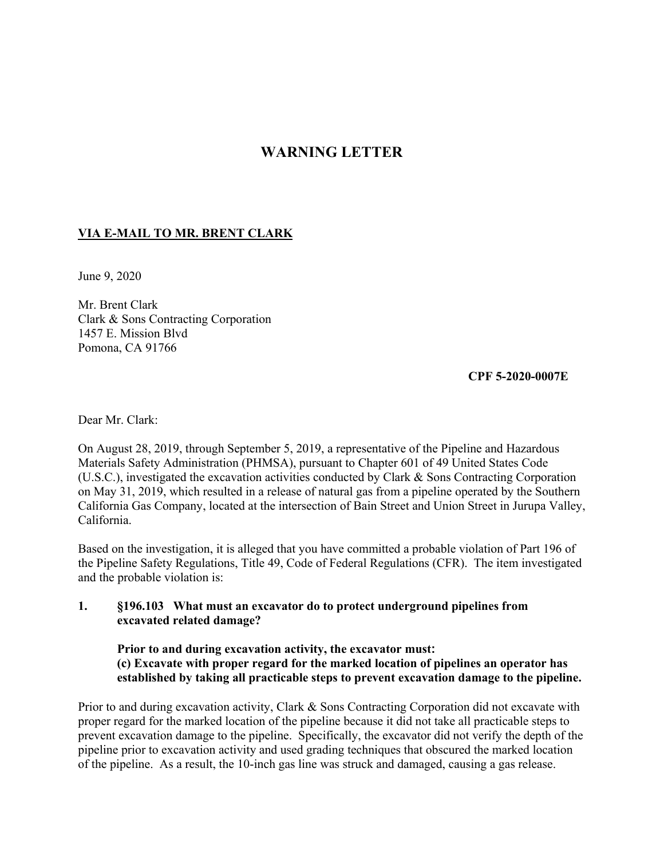## **WARNING LETTER**

## **VIA E-MAIL TO MR. BRENT CLARK**

June 9, 2020

Mr. Brent Clark Clark & Sons Contracting Corporation 1457 E. Mission Blvd Pomona, CA 91766

 **CPF 5-2020-0007E** 

Dear Mr. Clark:

On August 28, 2019, through September 5, 2019, a representative of the Pipeline and Hazardous Materials Safety Administration (PHMSA), pursuant to Chapter 601 of 49 United States Code (U.S.C.), investigated the excavation activities conducted by Clark & Sons Contracting Corporation on May 31, 2019, which resulted in a release of natural gas from a pipeline operated by the Southern California Gas Company, located at the intersection of Bain Street and Union Street in Jurupa Valley, California.

 and the probable violation is: Based on the investigation, it is alleged that you have committed a probable violation of Part 196 of the Pipeline Safety Regulations, Title 49, Code of Federal Regulations (CFR). The item investigated

## **1. §196.103 What must an excavator do to protect underground pipelines from excavated related damage?**

**Prior to and during excavation activity, the excavator must: (c) Excavate with proper regard for the marked location of pipelines an operator has established by taking all practicable steps to prevent excavation damage to the pipeline.** 

Prior to and during excavation activity, Clark & Sons Contracting Corporation did not excavate with proper regard for the marked location of the pipeline because it did not take all practicable steps to prevent excavation damage to the pipeline. Specifically, the excavator did not verify the depth of the pipeline prior to excavation activity and used grading techniques that obscured the marked location of the pipeline. As a result, the 10-inch gas line was struck and damaged, causing a gas release.